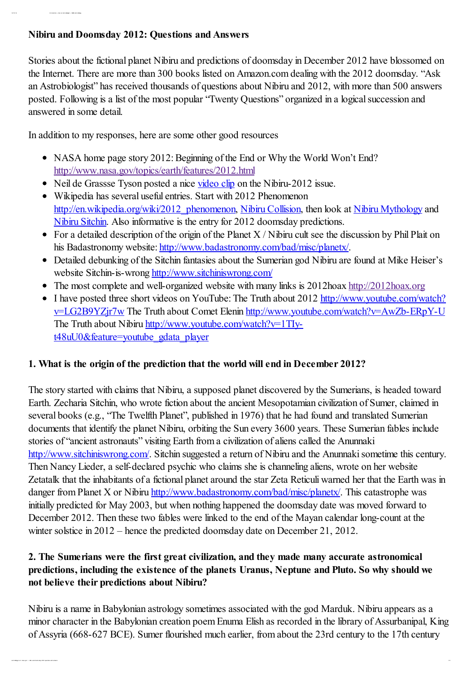#### Nibiru and Doomsday 2012: Questions and Answers

12/ 13/ 12 I nt r oduct ion « Ask an Ast r obiologist « NASA Ast r obiology

Stories about the fictional planet Nibiru and predictions of doomsday in December 2012 have blossomed on the Internet. There are more than 300 books listed on Amazon.com dealing with the 2012 doomsday. "Ask an Astrobiologist" has received thousands of questions about Nibiru and 2012, with more than 500 answers posted. Following is a list of the most popular "Twenty Questions" organized in a logical succession and answered in some detail.

In addition to my responses, here are some other good resources

- NASA home page story 2012: Beginning of the End or Why the World Won't End? <http://www.nasa.gov/topics/earth/features/2012.html>
- Neil de Grassse Tyson posted a nice [video](http://fora.tv/2009/02/04/Neil_deGrasse_Tyson_Pluto_Files#Neil_deGrasse_Tyson_World_Will_Not_End_in_2012) clip on the Nibiru-2012 issue.
- Wikipedia has several useful entries. Start with 2012 Phenomenon [http://en.wikipedia.org/wiki/2012\\_phenomenon,](http://en.wikipedia.org/wiki/2012_phenomenon) Nibiru [Collision,](http://en.wikipedia.org/wiki/Nibiru_collision) then look at Nibiru [Mythology](http://en.wikipedia.org/wiki/Nibiru_%28Babylonian_astronomy%29) and Nibiru [Sitchin](http://en.wikipedia.org/wiki/Zecharia_Sitchin). Also informative is the entry for 2012 doomsday predictions.
- For a detailed description of the origin of the Planet  $X / N$  ibiru cult see the discussion by Phil Plait on his Badastronomy website: [http://www.badastronomy.com/bad/misc/planetx/.](http://www.badastronomy.com/bad/misc/planetx/)
- Detailed debunking of the Sitchin fantasies about the Sumerian god Nibiru are found at Mike Heiser's website Sitchin-is-wrong <http://www.sitchiniswrong.com/>
- The most complete and well-organized website with many links is  $2012 \text{hoax} \cdot \text{http://2012hoax.org}$  $2012 \text{hoax} \cdot \text{http://2012hoax.org}$  $2012 \text{hoax} \cdot \text{http://2012hoax.org}$
- I have posted three short videos on YouTube: The Truth about 2012 http://www.youtube.com/watch? v=LG2B9YZjr7w The Truth about Comet Elenin [http://www.youtube.com/watch?v=AwZb-ERpY-U](http://www.youtube.com/watch?v=LG2B9YZjr7w) The Truth about Nibiru [http://www.youtube.com/watch?v=1TIy](http://www.youtube.com/watch?v=1TIy-t48uU0&feature=youtube_gdata_player)t48uU0&feature=youtube\_gdata\_player

## 1. What is the origin of the prediction that the world will end in December 2012?

The story started with claims that Nibiru, a supposed planet discovered by the Sumerians, is headed toward Earth. Zecharia Sitchin, who wrote fiction about the ancient Mesopotamian civilization of Sumer, claimed in several books (e.g., "The Twelfth Planet", published in 1976) that he had found and translated Sumerian documents that identify the planet Nibiru, orbiting the Sun every 3600 years. These Sumerian fables include stories of "ancient astronauts" visiting Earth from a civilization of aliens called the Anunnaki [http://www.sitchiniswrong.com/.](http://www.sitchiniswrong.com/) Sitchin suggested a return of Nibiru and the Anunnaki sometime this century. Then Nancy Lieder, a self-declared psychic who claims she is channeling aliens, wrote on her website Zetatalk that the inhabitants of a fictional planet around the star Zeta Reticuli warned her that the Earth was in danger from Planet X or Nibiru <http://www.badastronomy.com/bad/misc/planetx/>. This catastrophe was initially predicted for May 2003, but when nothing happened the doomsday date was moved forward to December 2012. Then these two fables were linked to the end of the Mayan calendar long-count at the winter solstice in 2012 – hence the predicted doomsday date on December 21, 2012.

#### 2. The Sumerians were the first great civilization, and they made many accurate astronomical predictions, including the existence of the planets Uranus, Neptune and Pluto. So why should we not believe their predictions about Nibiru?

Nibiru is a name in Babylonian astrology sometimes associated with the god Marduk. Nibiru appears as a minor character in the Babylonian creation poem Enuma Elish as recorded in the library of Assurbanipal, King of Assyria (668-627 BCE). Sumer flourished much earlier, from about the 23rd century to the 17th century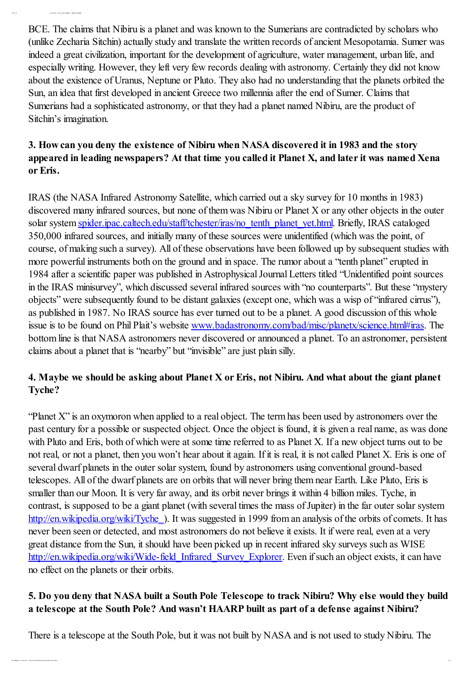BCE. The claims that Nibiru is a planet and was known to the Sumerians are contradicted by scholars who (unlike Zecharia Sitchin) actually study and translate the written records of ancient Mesopotamia. Sumer was indeed a great civilization, important for the development of agriculture, water management, urban life, and especially writing. However, they left very few records dealing with astronomy. Certainly they did not know about the existence of Uranus, Neptune or Pluto. They also had no understanding that the planets orbited the Sun, an idea that first developed in ancient Greece two millennia after the end of Sumer. Claims that Sumerians had a sophisticated astronomy, or that they had a planet named Nibiru, are the product of Sitchin's imagination.

12/ 13/ 12 I nt r oduct ion « Ask an Ast r obiologist « NASA Ast r obiology

# 3. How can you deny the existence of Nibiru when NASA discovered it in 1983 and the story appeared in leading newspapers? At that time you called it Planet X, and later it was named Xena or Eris.

IRAS (the NASA Infrared Astronomy Satellite, which carried out a sky survey for 10 months in 1983) discovered many infrared sources, but none of them was Nibiru or Planet X or any other objects in the outer solar system [spider.ipac.caltech.edu/staff/tchester/iras/no\\_tenth\\_planet\\_yet.html.](https://astrobiology.nasa.gov/spider.ipac.caltech.edu/staff/tchester/iras/no_tenth_planet_yet.html) Briefly, IRAS cataloged 350,000 infrared sources, and initially many of these sources were unidentified (which was the point, of course, of making such a survey). All of these observations have been followed up by subsequent studies with more powerful instruments both on the ground and in space. The rumor about a "tenth planet" erupted in 1984 after a scientific paper was published in AstrophysicalJournal Letters titled "Unidentified point sources in the IRAS minisurvey", which discussed several infrared sources with "no counterparts". But these "mystery objects" were subsequently found to be distant galaxies (except one, which was a wisp of "infrared cirrus"), as published in 1987. No IRAS source has ever turned out to be a planet. A good discussion of this whole issue is to be found on Phil Plait's website [www.badastronomy.com/bad/misc/planetx/science.html#iras](https://astrobiology.nasa.gov/www.badastronomy.com/bad/misc/planetx/science.html#iras). The bottom line is that NASA astronomers never discovered or announced a planet. To an astronomer, persistent claims about a planet that is "nearby" but "invisible" are just plain silly.

# 4. Maybe we should be asking about Planet X or Eris, not Nibiru. And what about the giant planet Tyche?

"Planet X" is an oxymoron when applied to a real object. The term has been used by astronomers over the past century for a possible or suspected object. Once the object is found, it is given a real name, as was done with Pluto and Eris, both of which were at some time referred to as Planet X. If a new object turns out to be not real, or not a planet, then you won't hear about it again. If it is real, it is not called Planet X. Eris is one of several dwarf planets in the outer solar system, found by astronomers using conventional ground-based telescopes. All of the dwarf planets are on orbits that will never bring them near Earth. Like Pluto, Eris is smaller than our Moon. It is very far away, and its orbit never brings it within 4 billion miles. Tyche, in contrast, is supposed to be a giant planet (with several times the mass of Jupiter) in the far outer solar system [http://en.wikipedia.org/wiki/Tyche\\_](http://en.wikipedia.org/wiki/Tyche_(hypothetical_planet)). It was suggested in 1999 from an analysis of the orbits of comets. It has never been seen or detected, and most astronomers do not believe it exists. It if were real, even at a very great distance from the Sun, it should have been picked up in recent infrared sky surveys such as WISE [http://en.wikipedia.org/wiki/Wide-field\\_Infrared\\_Survey\\_Explorer](http://en.wikipedia.org/wiki/Wide-field_Infrared_Survey_Explorer). Even if such an object exists, it can have no effect on the planets or their orbits.

# 5. Do you deny that NASA built a South Pole Telescope to track Nibiru? Why else would they build a telescope at the South Pole? And wasn't HAARP built as part of a defense against Nibiru?

There is a telescope at the South Pole, but it was not built by NASA and is not used to study Nibiru. The

 $220$  and  $200$  and  $200$  and  $200$  and any  $200$  and answer s  $200$  and answer s  $20$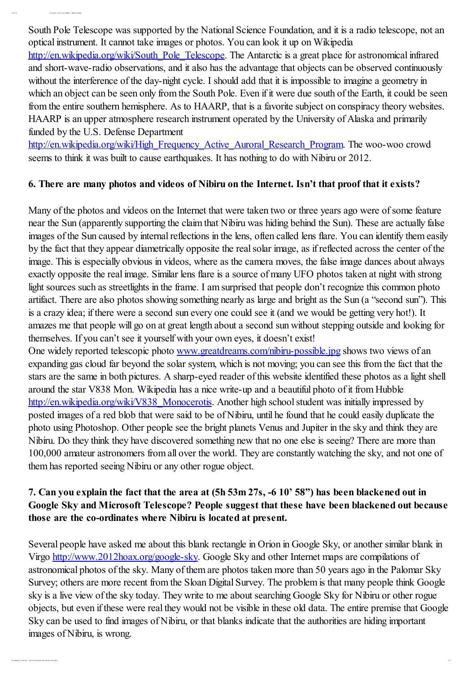South Pole Telescope was supported by the National Science Foundation, and it is a radio telescope, not an optical instrument. It cannot take images or photos. You can look it up on Wikipedia [http://en.wikipedia.org/wiki/South\\_Pole\\_Telescope](http://en.wikipedia.org/wiki/South_Pole_Telescope). The Antarctic is a great place for astronomical infrared and short-wave-radio observations, and it also has the advantage that objects can be observed continuously without the interference of the day-night cycle. I should add that it is impossible to imagine a geometry in which an object can be seen only from the South Pole. Even if it were due south of the Earth, it could be seen from the entire southern hemisphere. As to HAARP, that is a favorite subject on conspiracy theory websites. HAARP is an upper atmosphere research instrument operated by the University of Alaska and primarily funded by the U.S. Defense Department

[http://en.wikipedia.org/wiki/High\\_Frequency\\_Active\\_Auroral\\_Research\\_Program](http://en.wikipedia.org/wiki/High_Frequency_Active_Auroral_Research_Program). The woo-woo crowd seems to think it was built to cause earthquakes. It has nothing to do with Nibiru or 2012.

#### 6. There are many photos and videos of Nibiru on the Internet. Isn't that proof that it exists?

Many of the photos and videos on the Internet that were taken two or three years ago were of some feature near the Sun (apparently supporting the claim that Nibiru was hiding behind the Sun). These are actually false images of the Sun caused by internal reflections in the lens, often called lens flare. You can identify them easily by the fact that they appear diametrically opposite the realsolar image, as if reflected across the center of the image. This is especially obvious in videos, where as the camera moves, the false image dances about always exactly opposite the real image. Similar lens flare is a source of many UFO photos taken at night with strong light sources such as streetlights in the frame. I am surprised that people don't recognize this common photo artifact. There are also photos showing something nearly as large and bright as the Sun (a "second sun"). This is a crazy idea; if there were a second sun every one could see it (and we would be getting very hot!). It amazes me that people will go on at great length about a second sun without stepping outside and looking for themselves. If you can't see it yourself with your own eyes, it doesn't exist! One widely reported telescopic photo [www.greatdreams.com/nibiru-possible.jpg](https://astrobiology.nasa.gov/www.greatdreams.com/nibiru-possible.jpg) shows two views of an expanding gas cloud far beyond the solar system, which is not moving; you can see this from the fact that the stars are the same in both pictures. A sharp-eyed reader of this website identified these photos as a light shell around the star V838 Mon. Wikipedia has a nice write-up and a beautiful photo of it from Hubble [http://en.wikipedia.org/wiki/V838\\_Monocerotis](http://en.wikipedia.org/wiki/V838_Monocerotis). Another high school student was initially impressed by posted images of a red blob that were said to be of Nibiru, until he found that he could easily duplicate the photo using Photoshop. Other people see the bright planets Venus and Jupiter in the sky and think they are

Nibiru. Do they think they have discovered something new that no one else is seeing? There are more than 100,000 amateur astronomers from all over the world. They are constantly watching the sky, and not one of them has reported seeing Nibiru or any other rogue object.

#### 7. Can you explain the fact that the area at (5h 53m 27s, -6 10' 58") has been blackened out in Google Sky and Microsoft Telescope? People suggest that these have been blackened out because those are the co-ordinates where Nibiru is located at present.

Several people have asked me about this blank rectangle in Orion in Google Sky, or another similar blank in Virgo [http://www.2012hoax.org/google-sky.](http://www.2012hoax.org/google-sky) Google Sky and other Internet maps are compilations of astronomical photos of the sky. Many of them are photos taken more than 50 years ago in the Palomar Sky Survey; others are more recent from the Sloan Digital Survey. The problem is that many people think Google sky is a live view of the sky today. They write to me about searching Google Sky for Nibiru or other rogue objects, but even if these were real they would not be visible in these old data. The entire premise that Google Sky can be used to find images of Nibiru, or that blanks indicate that the authorities are hiding important images of Nibiru, is wrong.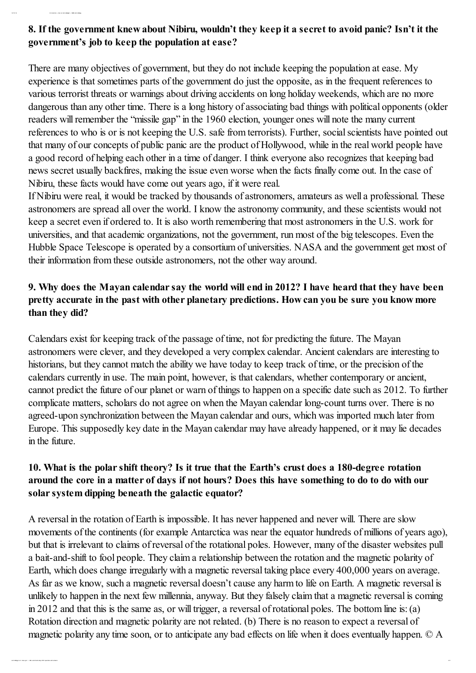## 8. If the government knew about Nibiru, wouldn't they keep it a secret to avoid panic? Isn't it the government's job to keep the population at ease?

12/ 13/ 12 I nt r oduct ion « Ask an Ast r obiologist « NASA Ast r obiology

There are many objectives of government, but they do not include keeping the population at ease. My experience is that sometimes parts of the government do just the opposite, as in the frequent references to various terrorist threats or warnings about driving accidents on long holiday weekends, which are no more dangerous than any other time. There is a long history of associating bad things with political opponents (older readers will remember the "missile gap" in the 1960 election, younger ones will note the many current references to who is or is not keeping the U.S. safe from terrorists). Further, socialscientists have pointed out that many of our concepts of public panic are the product of Hollywood, while in the real world people have a good record of helping each other in a time of danger. I think everyone also recognizes that keeping bad news secret usually backfires, making the issue even worse when the facts finally come out. In the case of Nibiru, these facts would have come out years ago, if it were real.

If Nibiru were real, it would be tracked by thousands of astronomers, amateurs as well a professional. These astronomers are spread all over the world. I know the astronomy community, and these scientists would not keep a secret even if ordered to. It is also worth remembering that most astronomers in the U.S. work for universities, and that academic organizations, not the government, run most of the big telescopes. Even the Hubble Space Telescope is operated by a consortium of universities. NASA and the government get most of their information from these outside astronomers, not the other way around.

## 9. Why does the Mayan calendar say the world will end in 2012? I have heard that they have been pretty accurate in the past with other planetary predictions. How can you be sure you know more than they did?

Calendars exist for keeping track of the passage of time, not for predicting the future. The Mayan astronomers were clever, and they developed a very complex calendar. Ancient calendars are interesting to historians, but they cannot match the ability we have today to keep track of time, or the precision of the calendars currently in use. The main point, however, is that calendars, whether contemporary or ancient, cannot predict the future of our planet or warn of things to happen on a specific date such as 2012. To further complicate matters, scholars do not agree on when the Mayan calendar long-count turns over. There is no agreed-upon synchronization between the Mayan calendar and ours, which was imported much later from Europe. This supposedly key date in the Mayan calendar may have already happened, or it may lie decades in the future.

#### 10. What is the polar shift theory? Is it true that the Earth's crust does a 180-degree rotation around the core in a matter of days if not hours? Does this have something to do to do with our solar system dipping beneath the galactic equator?

A reversal in the rotation of Earth is impossible. It has never happened and never will. There are slow movements of the continents (for example Antarctica was near the equator hundreds of millions of years ago), but that is irrelevant to claims of reversal of the rotational poles. However, many of the disaster websites pull a bait-and-shift to fool people. They claim a relationship between the rotation and the magnetic polarity of Earth, which does change irregularly with a magnetic reversal taking place every 400,000 years on average. As far as we know, such a magnetic reversal doesn't cause any harm to life on Earth. A magnetic reversal is unlikely to happen in the next few millennia, anyway. But they falsely claim that a magnetic reversal is coming in 2012 and that this is the same as, or will trigger, a reversal of rotational poles. The bottom line is:(a) Rotation direction and magnetic polarity are not related. (b) There is no reason to expect a reversal of magnetic polarity any time soon, or to anticipate any bad effects on life when it does eventually happen. © A

ast r obiology2. ar c. nasa. gov/ …/ nibir u- and- doom sday- 2012- quest ions- and- answer s 4/ 9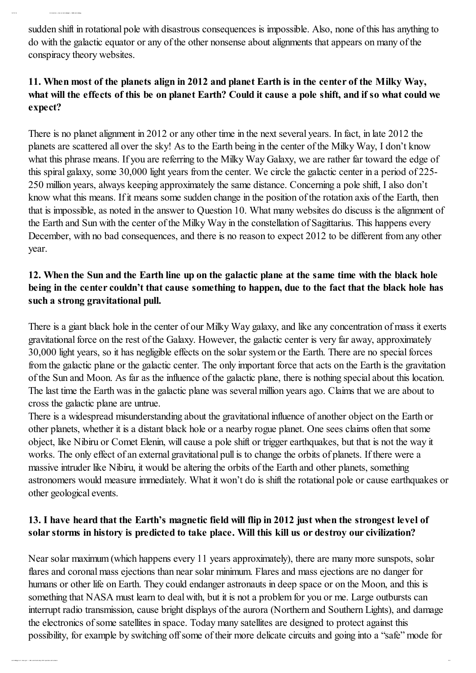sudden shift in rotational pole with disastrous consequences is impossible. Also, none of this has anything to do with the galactic equator or any of the other nonsense about alignments that appears on many of the conspiracy theory websites.

## 11. When most of the planets align in 2012 and planet Earth is in the center of the Milky Way, what will the effects of this be on planet Earth? Could it cause a pole shift, and if so what could we expect?

There is no planet alignment in 2012 or any other time in the next several years. In fact, in late 2012 the planets are scattered all over the sky! As to the Earth being in the center of the Milky Way, I don't know what this phrase means. If you are referring to the Milky Way Galaxy, we are rather far toward the edge of this spiral galaxy, some 30,000 light years from the center. We circle the galactic center in a period of 225- 250 million years, always keeping approximately the same distance. Concerning a pole shift, I also don't know what this means. If it means some sudden change in the position of the rotation axis of the Earth, then that is impossible, as noted in the answer to Question 10. What many websites do discuss is the alignment of the Earth and Sun with the center of the Milky Way in the constellation of Sagittarius. This happens every December, with no bad consequences, and there is no reason to expect 2012 to be different from any other year.

## 12. When the Sun and the Earth line up on the galactic plane at the same time with the black hole being in the center couldn't that cause something to happen, due to the fact that the black hole has such a strong gravitational pull.

There is a giant black hole in the center of our Milky Way galaxy, and like any concentration of mass it exerts gravitational force on the rest of the Galaxy. However, the galactic center is very far away, approximately 30,000 light years, so it has negligible effects on the solar system or the Earth. There are no special forces from the galactic plane or the galactic center. The only important force that acts on the Earth is the gravitation of the Sun and Moon. As far as the influence of the galactic plane, there is nothing special about this location. The last time the Earth was in the galactic plane was several million years ago. Claims that we are about to cross the galactic plane are untrue.

There is a widespread misunderstanding about the gravitational influence of another object on the Earth or other planets, whether it is a distant black hole or a nearby rogue planet. One sees claims often that some object, like Nibiru or Comet Elenin, will cause a pole shift or trigger earthquakes, but that is not the way it works. The only effect of an external gravitational pull is to change the orbits of planets. If there were a massive intruder like Nibiru, it would be altering the orbits of the Earth and other planets, something astronomers would measure immediately. What it won't do is shift the rotational pole or cause earthquakes or other geological events.

## 13. I have heard that the Earth's magnetic field will flip in 2012 just when the strongest level of solar storms in history is predicted to take place. Will this kill us or destroy our civilization?

Near solar maximum (which happens every 11 years approximately), there are many more sunspots, solar flares and coronal mass ejections than near solar minimum. Flares and mass ejections are no danger for humans or other life on Earth. They could endanger astronauts in deep space or on the Moon, and this is something that NASA must learn to deal with, but it is not a problem for you or me. Large outbursts can interrupt radio transmission, cause bright displays of the aurora (Northern and Southern Lights), and damage the electronics of some satellites in space. Today many satellites are designed to protect against this possibility, for example by switching offsome of their more delicate circuits and going into a "safe" mode for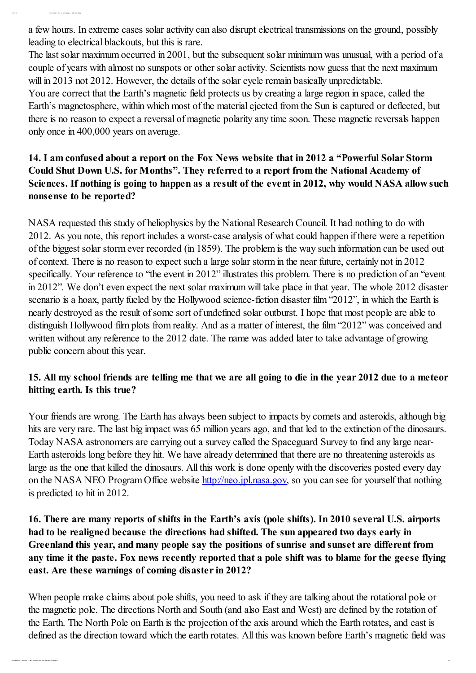a few hours. In extreme cases solar activity can also disrupt electrical transmissions on the ground, possibly leading to electrical blackouts, but this is rare.

The last solar maximum occurred in 2001, but the subsequent solar minimum was unusual, with a period of a couple of years with almost no sunspots or other solar activity. Scientists now guess that the next maximum will in 2013 not 2012. However, the details of the solar cycle remain basically unpredictable.

You are correct that the Earth's magnetic field protects us by creating a large region in space, called the Earth's magnetosphere, within which most of the material ejected from the Sun is captured or deflected, but there is no reason to expect a reversal of magnetic polarity any time soon. These magnetic reversals happen only once in 400,000 years on average.

# 14. I am confused about a report on the Fox News website that in 2012 a "Powerful Solar Storm Could Shut Down U.S. for Months". They referred to a report from the National Academy of Sciences. If nothing is going to happen as a result of the event in 2012, why would NASA allow such nonsense to be reported?

NASA requested this study of heliophysics by the National Research Council. It had nothing to do with 2012. As you note, this report includes a worst-case analysis of what could happen if there were a repetition of the biggest solar storm ever recorded (in 1859). The problem is the way such information can be used out of context. There is no reason to expect such a large solar storm in the near future, certainly not in 2012 specifically. Your reference to "the event in 2012" illustrates this problem. There is no prediction of an "event in 2012". We don't even expect the next solar maximum will take place in that year. The whole 2012 disaster scenario is a hoax, partly fueled by the Hollywood science-fiction disaster film "2012", in which the Earth is nearly destroyed as the result of some sort of undefined solar outburst. I hope that most people are able to distinguish Hollywood film plots from reality. And as a matter of interest, the film "2012" was conceived and written without any reference to the 2012 date. The name was added later to take advantage of growing public concern about this year.

## 15. All my school friends are telling me that we are all going to die in the year 2012 due to a meteor hitting earth. Is this true?

Your friends are wrong. The Earth has always been subject to impacts by comets and asteroids, although big hits are very rare. The last big impact was 65 million years ago, and that led to the extinction of the dinosaurs. Today NASA astronomers are carrying out a survey called the Spaceguard Survey to find any large near-Earth asteroids long before they hit. We have already determined that there are no threatening asteroids as large as the one that killed the dinosaurs. All this work is done openly with the discoveries posted every day on the NASA NEO Program Office website [http://neo.jpl.nasa.gov,](http://neo.jpl.nasa.gov/) so you can see for yourself that nothing is predicted to hit in 2012.

## 16. There are many reports of shifts in the Earth's axis (pole shifts). In 2010 several U.S. airports had to be realigned because the directions had shifted. The sun appeared two days early in Greenland this year, and many people say the positions of sunrise and sunset are different from any time it the paste. Fox news recently reported that a pole shift was to blame for the geese flying east. Are these warnings of coming disaster in 2012?

When people make claims about pole shifts, you need to ask if they are talking about the rotational pole or the magnetic pole. The directions North and South (and also East and West) are defined by the rotation of the Earth. The North Pole on Earth is the projection of the axis around which the Earth rotates, and east is defined as the direction toward which the earth rotates. All this was known before Earth's magnetic field was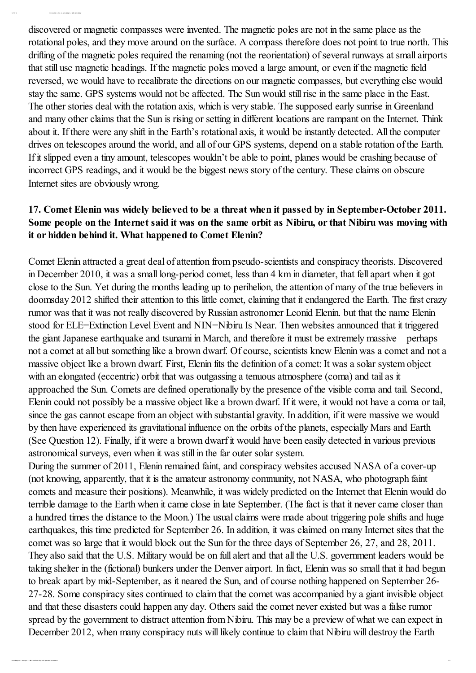discovered or magnetic compasses were invented. The magnetic poles are not in the same place as the rotational poles, and they move around on the surface. A compass therefore does not point to true north. This drifting of the magnetic poles required the renaming (not the reorientation) of several runways at small airports that still use magnetic headings. If the magnetic poles moved a large amount, or even if the magnetic field reversed, we would have to recalibrate the directions on our magnetic compasses, but everything else would stay the same. GPS systems would not be affected. The Sun would still rise in the same place in the East. The other stories deal with the rotation axis, which is very stable. The supposed early sunrise in Greenland and many other claims that the Sun is rising or setting in different locations are rampant on the Internet. Think about it. If there were any shift in the Earth's rotational axis, it would be instantly detected. All the computer drives on telescopes around the world, and all of our GPS systems, depend on a stable rotation of the Earth. If it slipped even a tiny amount, telescopes wouldn't be able to point, planes would be crashing because of incorrect GPS readings, and it would be the biggest news story of the century. These claims on obscure Internet sites are obviously wrong.

#### 17. Comet Elenin was widely believed to be a threat when it passed by in September-October 2011. Some people on the Internet said it was on the same orbit as Nibiru, or that Nibiru was moving with it or hidden behind it. What happened to Comet Elenin?

Comet Elenin attracted a great deal of attention from pseudo-scientists and conspiracy theorists. Discovered in December 2010, it was a small long-period comet, less than 4 km in diameter, that fell apart when it got close to the Sun. Yet during the months leading up to perihelion, the attention of many of the true believers in doomsday 2012 shifted their attention to this little comet, claiming that it endangered the Earth. The first crazy rumor was that it was not really discovered by Russian astronomer Leonid Elenin. but that the name Elenin stood for ELE=Extinction Level Event and NIN=Nibiru Is Near. Then websites announced that it triggered the giant Japanese earthquake and tsunami in March, and therefore it must be extremely massive – perhaps not a comet at all but something like a brown dwarf. Of course, scientists knew Elenin was a comet and not a massive object like a brown dwarf. First, Elenin fits the definition of a comet: It was a solar system object with an elongated (eccentric) orbit that was outgassing a tenuous atmosphere (coma) and tail as it approached the Sun. Comets are defined operationally by the presence of the visible coma and tail. Second, Elenin could not possibly be a massive object like a brown dwarf. If it were, it would not have a coma or tail, since the gas cannot escape from an object with substantial gravity. In addition, if it were massive we would by then have experienced its gravitational influence on the orbits of the planets, especially Mars and Earth (See Question 12). Finally, if it were a brown dwarf it would have been easily detected in various previous astronomical surveys, even when it was still in the far outer solar system.

During the summer of 2011, Elenin remained faint, and conspiracy websites accused NASA of a cover-up (not knowing, apparently, that it is the amateur astronomy community, not NASA, who photograph faint comets and measure their positions). Meanwhile, it was widely predicted on the Internet that Elenin would do terrible damage to the Earth when it came close in late September. (The fact is that it never came closer than a hundred times the distance to the Moon.) The usual claims were made about triggering pole shifts and huge earthquakes, this time predicted for September 26. In addition, it was claimed on many Internet sites that the comet was so large that it would block out the Sun for the three days of September 26, 27, and 28, 2011. They also said that the U.S. Military would be on full alert and that all the U.S. government leaders would be taking shelter in the (fictional) bunkers under the Denver airport. In fact, Elenin was so small that it had begun to break apart by mid-September, as it neared the Sun, and of course nothing happened on September 26- 27-28. Some conspiracy sites continued to claim that the comet was accompanied by a giant invisible object and that these disasters could happen any day. Others said the comet never existed but was a false rumor spread by the government to distract attention from Nibiru. This may be a preview of what we can expect in December 2012, when many conspiracy nuts will likely continue to claim that Nibiru will destroy the Earth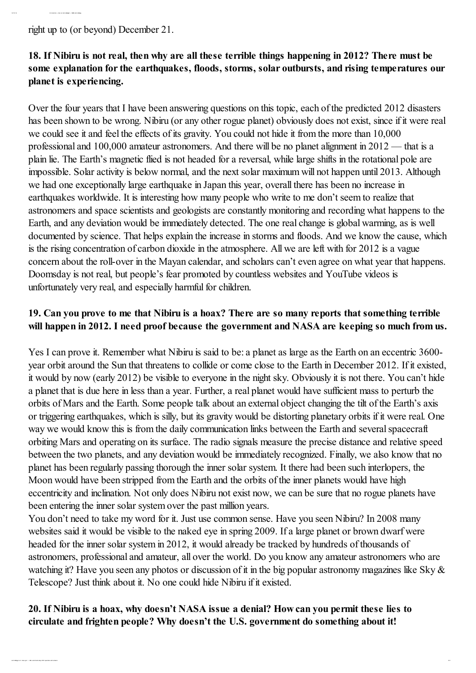right up to (or beyond) December 21.

12/ 13/ 12 I nt r oduct ion « Ask an Ast r obiologist « NASA Ast r obiology

## 18. If Nibiru is not real, then why are all these terrible things happening in 2012? There must be some explanation for the earthquakes, floods, storms, solar outbursts, and rising temperatures our planet is experiencing.

Over the four years that I have been answering questions on this topic, each of the predicted 2012 disasters has been shown to be wrong. Nibiru (or any other rogue planet) obviously does not exist, since if it were real we could see it and feel the effects of its gravity. You could not hide it from the more than 10,000 professional and 100,000 amateur astronomers. And there will be no planet alignment in 2012 — that is a plain lie. The Earth's magnetic flied is not headed for a reversal, while large shifts in the rotational pole are impossible. Solar activity is below normal, and the next solar maximum will not happen until 2013. Although we had one exceptionally large earthquake in Japan this year, overall there has been no increase in earthquakes worldwide. It is interesting how many people who write to me don't seem to realize that astronomers and space scientists and geologists are constantly monitoring and recording what happens to the Earth, and any deviation would be immediately detected. The one real change is global warming, as is well documented by science. That helps explain the increase in storms and floods. And we know the cause, which is the rising concentration of carbon dioxide in the atmosphere. All we are left with for 2012 is a vague concern about the roll-over in the Mayan calendar, and scholars can't even agree on what year that happens. Doomsday is not real, but people's fear promoted by countless websites and YouTube videos is unfortunately very real, and especially harmful for children.

## 19. Can you prove to me that Nibiru is a hoax? There are so many reports that something terrible will happen in 2012. I need proof because the government and NASA are keeping so much from us.

Yes I can prove it. Remember what Nibiru is said to be: a planet as large as the Earth on an eccentric 3600 year orbit around the Sun that threatens to collide or come close to the Earth in December 2012. If it existed, it would by now (early 2012) be visible to everyone in the night sky. Obviously it is not there. You can't hide a planet that is due here in less than a year. Further, a real planet would have sufficient mass to perturb the orbits of Mars and the Earth. Some people talk about an external object changing the tilt of the Earth's axis or triggering earthquakes, which is silly, but its gravity would be distorting planetary orbits if it were real. One way we would know this is from the daily communication links between the Earth and several spacecraft orbiting Mars and operating on its surface. The radio signals measure the precise distance and relative speed between the two planets, and any deviation would be immediately recognized. Finally, we also know that no planet has been regularly passing thorough the inner solar system. It there had been such interlopers, the Moon would have been stripped from the Earth and the orbits of the inner planets would have high eccentricity and inclination. Not only does Nibiru not exist now, we can be sure that no rogue planets have been entering the inner solar system over the past million years.

You don't need to take my word for it. Just use common sense. Have you seen Nibiru? In 2008 many websites said it would be visible to the naked eye in spring 2009. If a large planet or brown dwarf were headed for the inner solar system in 2012, it would already be tracked by hundreds of thousands of astronomers, professional and amateur, all over the world. Do you know any amateur astronomers who are watching it? Have you seen any photos or discussion of it in the big popular astronomy magazines like Sky & Telescope? Just think about it. No one could hide Nibiru if it existed.

#### 20. If Nibiru is a hoax, why doesn't NASA issue a denial? How can you permit these lies to circulate and frighten people? Why doesn't the U.S. government do something about it!

ast r obiology2. ar c. nasa. gov/ …/ nibir u- and- doom sday- 2012- quest ions- and- answer s 8/ 9